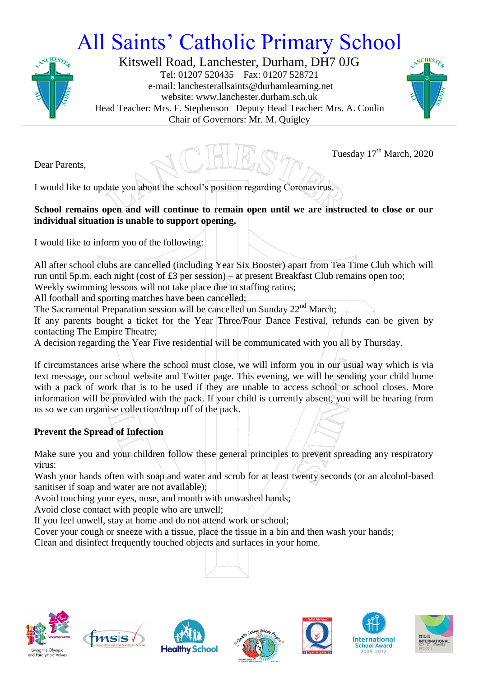## All Saints' Catholic Primary School



Kitswell Road, Lanchester, Durham, DH7 0JG Tel: 01207 520435 Fax: 01207 528721 e-mail: lanchesterallsaints@durhamlearning.net website: www.lanchester.durham.sch.uk Head Teacher: Mrs. F. Stephenson Deputy Head Teacher: Mrs. A. Conlin Chair of Governors: Mr. M. Quigley



Tuesday 17<sup>th</sup> March, 2020

Dear Parents,

I would like to update you about the school's position regarding Coronavirus.

## **School remains open and will continue to remain open until we are instructed to close or our individual situation is unable to support opening.**

I would like to inform you of the following:

All after school clubs are cancelled (including Year Six Booster) apart from Tea Time Club which will run until 5p.m. each night (cost of £3 per session) – at present Breakfast Club remains open too;

Weekly swimming lessons will not take place due to staffing ratios;

All football and sporting matches have been cancelled;

The Sacramental Preparation session will be cancelled on Sunday 22<sup>nd</sup> March;

If any parents bought a ticket for the Year Three/Four Dance Festival, refunds can be given by contacting The Empire Theatre;

A decision regarding the Year Five residential will be communicated with you all by Thursday.

If circumstances arise where the school must close, we will inform you in our usual way which is via text message, our school website and Twitter page. This evening, we will be sending your child home with a pack of work that is to be used if they are unable to access school or school closes. More information will be provided with the pack. If your child is currently absent, you will be hearing from us so we can organise collection/drop off of the pack.

## **Prevent the Spread of Infection**

Make sure you and your children follow these general principles to prevent spreading any respiratory virus:

Wash your hands often with soap and water and scrub for at least twenty seconds (or an alcohol-based sanitiser if soap and water are not available);

Avoid touching your eyes, nose, and mouth with unwashed hands;

Avoid close contact with people who are unwell;

If you feel unwell, stay at home and do not attend work or school;

Cover your cough or sneeze with a tissue, place the tissue in a bin and then wash your hands;

Clean and disinfect frequently touched objects and surfaces in your home.